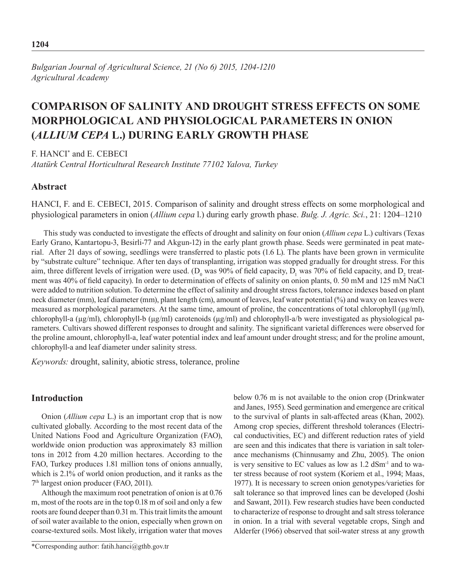# **COMPARISON OF SALINITY AND DROUGHT STRESS EFFECTS ON SOME MORPHOLOGICAL AND PHYSIOLOGICAL PARAMETERS IN ONION (***ALLIUM CEPA* **L.) DURING EARLY GROWTH PHASE**

F. HANCI\* and E. CEBECI

*Atatürk Central Horticultural Research Institute 77102 Yalova, Turkey* 

# **Abstract**

HANCI, F. and E. CEBECI, 2015. Comparison of salinity and drought stress effects on some morphological and physiological parameters in onion (*Allium cepa* l.) during early growth phase. *Bulg. J. Agric. Sci.*, 21: 1204–1210

This study was conducted to investigate the effects of drought and salinity on four onion (*Allium cepa* L.) cultivars (Texas Early Grano, Kantartopu-3, Besirli-77 and Akgun-12) in the early plant growth phase. Seeds were germinated in peat material. After 21 days of sowing, seedlings were transferred to plastic pots (1.6 L). The plants have been grown in vermiculite by "substrate culture" technique. After ten days of transplanting, irrigation was stopped gradually for drought stress. For this aim, three different levels of irrigation were used. (D<sub>0</sub> was 90% of field capacity, D<sub>1</sub> was 70% of field capacity, and D<sub>2</sub> treatment was 40% of field capacity). In order to determination of effects of salinity on onion plants, 0. 50 mM and 125 mM NaCl were added to nutrition solution. To determine the effect of salinity and drought stress factors, tolerance indexes based on plant neck diameter (mm), leaf diameter (mm), plant length (cm), amount of leaves, leaf water potential (%) and waxy on leaves were measured as morphological parameters. At the same time, amount of proline, the concentrations of total chlorophyll  $(\mu g/ml)$ , chlorophyll-a ( $\mu$ g/ml), chlorophyll-b ( $\mu$ g/ml) carotenoids ( $\mu$ g/ml) and chlorophyll-a/b were investigated as physiological parameters. Cultivars showed different responses to drought and salinity. The significant varietal differences were observed for the proline amount, chlorophyll-a, leaf water potential index and leaf amount under drought stress; and for the proline amount, chlorophyll-a and leaf diameter under salinity stress.

*Keywords:* drought, salinity, abiotic stress, tolerance, proline

# **Introduction**

Onion (*Allium cepa* L.) is an important crop that is now cultivated globally. According to the most recent data of the United Nations Food and Agriculture Organization (FAO), worldwide onion production was approximately 83 million tons in 2012 from 4.20 million hectares. According to the FAO, Turkey produces 1.81 million tons of onions annually, which is 2.1% of world onion production, and it ranks as the 7th largest onion producer (FAO, 2011).

Although the maximum root penetration of onion is at 0.76 m, most of the roots are in the top 0.18 m of soil and only a few roots are found deeper than 0.31 m. This trait limits the amount of soil water available to the onion, especially when grown on coarse-textured soils. Most likely, irrigation water that moves

\*Corresponding author: fatih.hanci@gthb.gov.tr

below 0.76 m is not available to the onion crop (Drinkwater and Janes, 1955). Seed germination and emergence are critical to the survival of plants in salt-affected areas (Khan, 2002). Among crop species, different threshold tolerances (Electrical conductivities, EC) and different reduction rates of yield are seen and this indicates that there is variation in salt tolerance mechanisms (Chinnusamy and Zhu, 2005). The onion is very sensitive to EC values as low as  $1.2$  dSm<sup>-1</sup> and to water stress because of root system (Koriem et al., 1994; Maas, 1977). It is necessary to screen onion genotypes*/*varieties for salt tolerance so that improved lines can be developed (Joshi and Sawant, 2011). Few research studies have been conducted to characterize of response to drought and salt stress tolerance in onion. In a trial with several vegetable crops, Singh and Alderfer (1966) observed that soil-water stress at any growth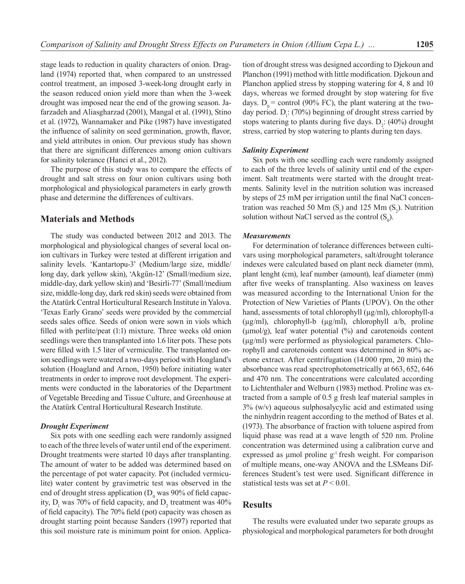stage leads to reduction in quality characters of onion. Dragland (1974) reported that, when compared to an unstressed control treatment, an imposed 3-week-long drought early in the season reduced onion yield more than when the 3-week drought was imposed near the end of the growing season. Jafarzadeh and Aliasgharzad (2001), Mangal et al. (1991), Stino et al. (1972), Wannamaker and Pike (1987) have investigated the influence of salinity on seed germination, growth, flavor, and yield attributes in onion. Our previous study has shown that there are significant differences among onion cultivars for salinity tolerance (Hanci et al., 2012).

The purpose of this study was to compare the effects of drought and salt stress on four onion cultivars using both morphological and physiological parameters in early growth phase and determine the differences of cultivars.

## **Materials and Methods**

The study was conducted between 2012 and 2013. The morphological and physiological changes of several local onion cultivars in Turkey were tested at different irrigation and salinity levels. 'Kantartopu-3' (Medium/large size, middle/ long day, dark yellow skin), 'Akgün-12' (Small/medium size, middle-day, dark yellow skin) and 'Besirli-77' (Small/medium size, middle-long day, dark red skin) seeds were obtained from the Atatürk Central Horticultural Research Institute in Yalova. 'Texas Early Grano' seeds were provided by the commercial seeds sales office. Seeds of onion were sown in viols which filled with perlite/peat (1:1) mixture. Three weeks old onion seedlings were then transplanted into 1.6 liter pots. These pots were filled with 1.5 liter of vermiculite. The transplanted onion seedlings were watered a two-days period with Hoagland's solution (Hoagland and Arnon, 1950) before initiating water treatments in order to improve root development. The experiments were conducted in the laboratories of the Department of Vegetable Breeding and Tissue Culture, and Greenhouse at the Atatürk Central Horticultural Research Institute.

### *Drought Experiment*

Six pots with one seedling each were randomly assigned to each of the three levels of water until end of the experiment. Drought treatments were started 10 days after transplanting. The amount of water to be added was determined based on the percentage of pot water capacity. Pot (included vermiculite) water content by gravimetric test was observed in the end of drought stress application ( $D_0$  was 90% of field capacity,  $D_1$  was 70% of field capacity, and  $D_2$  treatment was 40% of field capacity). The 70% field (pot) capacity was chosen as drought starting point because Sanders (1997) reported that this soil moisture rate is minimum point for onion. Applica-

tion of drought stress was designed according to Djekoun and Planchon (1991) method with little modification. Djekoun and Planchon applied stress by stopping watering for 4, 8 and 10 days, whereas we formed drought by stop watering for five days.  $D_0$  = control (90% FC), the plant watering at the twoday period.  $D_1$ : (70%) beginning of drought stress carried by stops watering to plants during five days.  $D_2$ : (40%) drought stress, carried by stop watering to plants during ten days.

### *Salinity Experiment*

Six pots with one seedling each were randomly assigned to each of the three levels of salinity until end of the experiment. Salt treatments were started with the drought treatments. Salinity level in the nutrition solution was increased by steps of 25 mM per irrigation until the final NaCl concentration was reached 50 Mm  $(S_1)$  and 125 Mm  $(S_2)$ . Nutrition solution without NaCl served as the control  $(S_0)$ .

### *Measurements*

For determination of tolerance differences between cultivars using morphological parameters, salt/drought tolerance indexes were calculated based on plant neck diameter (mm), plant lenght (cm), leaf number (amount), leaf diameter (mm) after five weeks of transplanting. Also waxiness on leaves was measured according to the International Union for the Protection of New Varieties of Plants (UPOV). On the other hand, assessments of total chlorophyll ( $\mu$ g/ml), chlorophyll-a (µg/ml), chlorophyll-b (µg/ml), chlorophyll a/b, proline (μmol/g), leaf water potential (%) and carotenoids content (µg/ml) were performed as physiological parameters. Chlorophyll and carotenoids content was determined in 80% acetone extract. After centrifugation (14.000 rpm, 20 min) the absorbance was read spectrophotometrically at 663, 652, 646 and 470 nm. The concentrations were calculated according to Lichtenthaler and Welburn (1983) method. Proline was extracted from a sample of 0.5 g fresh leaf material samples in 3% (w/v) aqueous sulphosalycylic acid and estimated using the ninhydrin reagent according to the method of Bates et al. (1973). The absorbance of fraction with toluene aspired from liquid phase was read at a wave length of 520 nm. Proline concentration was determined using a calibration curve and expressed as umol proline  $g<sup>1</sup>$  fresh weight. For comparison of multiple means, one-way ANOVA and the LSMeans Differences Student's test were used. Significant difference in statistical tests was set at *P* < 0.01.

## **Results**

The results were evaluated under two separate groups as physiological and morphological parameters for both drought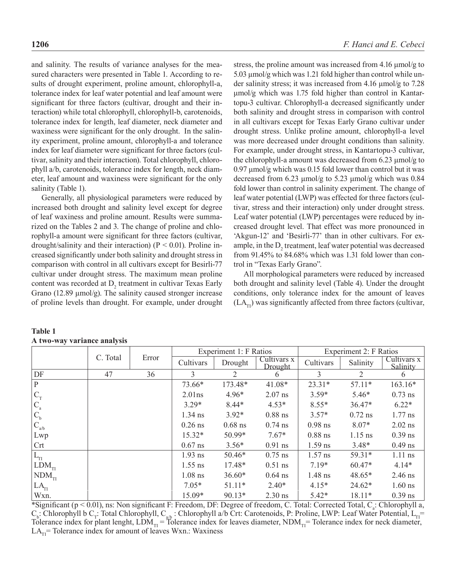and salinity. The results of variance analyses for the measured characters were presented in Table 1. According to results of drought experiment, proline amount, chlorophyll-a, tolerance index for leaf water potential and leaf amount were significant for three factors (cultivar, drought and their interaction) while total chlorophyll, chlorophyll-b, carotenoids, tolerance index for length, leaf diameter, neck diameter and waxiness were significant for the only drought. In the salinity experiment, proline amount, chlorophyll-a and tolerance index for leaf diameter were significant for three factors (cultivar, salinity and their interaction). Total chlorophyll, chlorophyll a/b, carotenoids, tolerance index for length, neck diameter, leaf amount and waxiness were significant for the only salinity (Table 1).

Generally, all physiological parameters were reduced by increased both drought and salinity level except for degree of leaf waxiness and proline amount. Results were summarized on the Tables 2 and 3. The change of proline and chlorophyll-a amount were significant for three factors (cultivar, drought/salinity and their interaction) ( $P < 0.01$ ). Proline increased significantly under both salinity and drought stress in comparison with control in all cultivars except for Besirli-77 cultivar under drought stress. The maximum mean proline content was recorded at  $D_2$  treatment in cultivar Texas Early Grano (12.89 μmol/g). The salinity caused stronger increase of proline levels than drought. For example, under drought

stress, the proline amount was increased from 4.16 μmol/g to 5.03 μmol/g which was 1.21 fold higher than control while under salinity stress; it was increased from 4.16 μmol/g to 7.28 μmol/g which was 1.75 fold higher than control in Kantartopu-3 cultivar. Chlorophyll-a decreased significantly under both salinity and drought stress in comparison with control in all cultivars except for Texas Early Grano cultivar under drought stress. Unlike proline amount, chlorophyll-a level was more decreased under drought conditions than salinity. For example, under drought stress, in Kantartopu-3 cultivar, the chlorophyll-a amount was decreased from 6.23 μmol/g to 0.97 μmol/g which was 0.15 fold lower than control but it was decreased from 6.23 μmol/g to 5.23 μmol/g which was 0.84 fold lower than control in salinity experiment. The change of leaf water potential (LWP) was effected for three factors (cultivar, stress and their interaction) only under drought stress. Leaf water potential (LWP) percentages were reduced by increased drought level. That effect was more pronounced in 'Akgun-12' and 'Besirli-77' than in other cultivars. For example, in the  $D_2$  treatment, leaf water potential was decreased from 91.45% to 84.68% which was 1.31 fold lower than control in "Texas Early Grano".

All morphological parameters were reduced by increased both drought and salinity level (Table 4). Under the drought conditions, only tolerance index for the amount of leaves  $(LA<sub>TI</sub>)$  was significantly affected from three factors (cultivar,

|                                          |          | Error |           | Experiment 1: F Ratios |                               | Experiment 2: F Ratios |           |                         |  |
|------------------------------------------|----------|-------|-----------|------------------------|-------------------------------|------------------------|-----------|-------------------------|--|
|                                          | C. Total |       | Cultivars | Drought                | Cultivars x<br><b>Drought</b> | Cultivars              | Salinity  | Cultivars x<br>Salinity |  |
| DF                                       | 47       | 36    | 3         | 2                      | <sub>(</sub>                  | 3                      | 2         | 6                       |  |
| $\mathbf{P}$                             |          |       | 73.66*    | 173.48*                | $41.08*$                      | $23.31*$               | $57.11*$  | $163.16*$               |  |
| ${}^{\dagger}C_{T}$                      |          |       | $2.01$ ns | $4.96*$                | $2.07$ ns                     | $3.59*$                | $5.46*$   | $0.73$ ns               |  |
| ${}^{\mathsf{L}}\mathsf{C}_{\mathsf{a}}$ |          |       | $3.29*$   | $8.44*$                | $4.53*$                       | $8.55*$                | $36.47*$  | $6.22*$                 |  |
| $\mathsf{C}_{\mathrm{b}}$                |          |       | $1.34$ ns | $3.92*$                | $0.88$ ns                     | $3.57*$                | $0.72$ ns | $1.77$ ns               |  |
| $C_{a/b}$                                |          |       | $0.26$ ns | $0.68$ ns              | $0.74$ ns                     | $0.98$ ns              | $8.07*$   | $2.02$ ns               |  |
| Lwp                                      |          |       | $15.32*$  | 50.99*                 | $7.67*$                       | $0.88$ ns              | $1.15$ ns | $0.39$ ns               |  |
| Crt                                      |          |       | $0.67$ ns | $3.56*$                | $0.91$ ns                     | $1.59$ ns              | $3.48*$   | $0.49$ ns               |  |
| $L_{\text{TI}}$                          |          |       | $1.93$ ns | $50.46*$               | $0.75$ ns                     | $1.57$ ns              | $59.31*$  | $1.11$ ns               |  |
| $LDM_{TI}$                               |          |       | $1.55$ ns | $17.48*$               | $0.51$ ns                     | $7.19*$                | $60.47*$  | $4.14*$                 |  |
| $\overline{\mathrm{NDM}}_{\mathrm{TI}}$  |          |       | $1.08$ ns | $36.60*$               | $0.64$ ns                     | $1.48$ ns              | 48.65*    | $2.46$ ns               |  |
| LA <sub>TI</sub>                         |          |       | $7.05*$   | $51.11*$               | $2.40*$                       | $4.15*$                | $24.62*$  | $1.60$ ns               |  |
| Wxn.                                     |          |       | 15.09*    | $90.13*$               | $2.30$ ns                     | $5.42*$                | $18.11*$  | $0.39$ ns               |  |

**Table 1 A two-way variance analysis** 

\*Significant ( $p < 0.01$ ), ns: Non significant F: Freedom, DF: Degree of freedom, C. Total: Corrected Total, C<sub>a</sub>: Chlorophyll a,  $C_{\rm b}$ : Chlorophyll b  $C_{\rm T}$ : Total Chlorophyll,  $C_{\rm a/b}$ : Chlorophyll a/b Crt: Carotenoids, P: Proline, LWP: Leaf Water Potential,  $L_{\rm T}$ Tolerance index for plant lenght,  $LDM_{TI}$  = Tolerance index for leaves diameter,  $NDM_{TI}$  = Tolerance index for neck diameter,  $LA<sub>TI</sub>$  = Tolerance index for amount of leaves Wxn.: Waxiness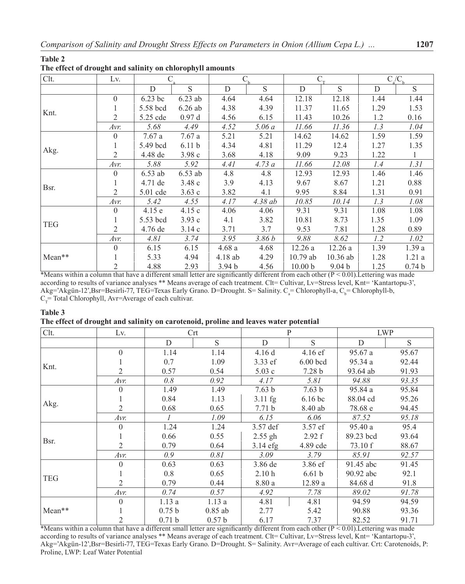### **Table 2**

| Clt.                               | Lv.      | C         |                   |                   |         | $C_{\tau}$         |                   | $C_{\rm a}/C_{\rm b}$ |                   |
|------------------------------------|----------|-----------|-------------------|-------------------|---------|--------------------|-------------------|-----------------------|-------------------|
|                                    |          | D         | S                 | D                 | S       | D                  | S                 | D                     | S                 |
|                                    | $\theta$ | 6.23 bc   | $6.23$ ab         | 4.64              | 4.64    | 12.18              | 12.18             | 1.44                  | 1.44              |
|                                    |          | 5.58 bcd  | $6.26$ ab         | 4.38              | 4.39    | 11.37              | 11.65             | 1.29                  | 1.53              |
|                                    | 2        | 5.25 cde  | 0.97d             | 4.56              | 6.15    | 11.43              | 10.26             | 1.2                   | 0.16              |
| Knt.<br>Akg.<br>Bsr.<br><b>TEG</b> | Avr.     | 5.68      | 4.49              | 4.52              | 5.06 a  | 11.66              | 11.36             | 1.3                   | 1.04              |
|                                    | $\Omega$ | 7.67a     | 7.67a             | 5.21              | 5.21    | 14.62              | 14.62             | 1.59                  | 1.59              |
|                                    |          | 5.49 bcd  | 6.11 <sub>b</sub> | 4.34              | 4.81    | 11.29              | 12.4              | 1.27                  | 1.35              |
|                                    | 2        | 4.48 de   | 3.98c             | 3.68              | 4.18    | 9.09               | 9.23              | 1.22                  | $\mathbf{1}$      |
|                                    | Avr.     | 5.88      | 5.92              | 4.41              | 4.73a   | 11.66              | 12.08             | 1.4                   | 1.31              |
|                                    | $\theta$ | $6.53$ ab | 6.53 ab           | 4.8               | 4.8     | 12.93              | 12.93             | 1.46                  | 1.46              |
|                                    |          | 4.71 de   | 3.48c             | 3.9               | 4.13    | 9.67               | 8.67              | 1.21                  | 0.88              |
|                                    | 2        | 5.01 cde  | 3.63c             | 3.82              | 4.1     | 9.95               | 8.84              | 1.31                  | 0.91              |
|                                    | Avr.     | 5.42      | 4.55              | 4.17              | 4.38 ab | 10.85              | 10.14             | 1.3                   | 1.08              |
|                                    | $\theta$ | 4.15e     | 4.15c             | 4.06              | 4.06    | 9.31               | 9.31              | 1.08                  | 1.08              |
|                                    |          | 5.53 bcd  | 3.93c             | 4.1               | 3.82    | 10.81              | 8.73              | 1.35                  | 1.09              |
|                                    | 2        | 4.76 de   | 3.14c             | 3.71              | 3.7     | 9.53               | 7.81              | 1.28                  | 0.89              |
|                                    | Avr.     | 4.81      | 3.74              | 3.95              | 3.86 b  | 9.88               | 8.62              | 1.2                   | 1.02              |
|                                    | $\theta$ | 6.15      | 6.15              | 4.68a             | 4.68    | 12.26a             | 12.26a            | 1.39                  | 1.39a             |
| Mean**                             |          | 5.33      | 4.94              | 4.18 ab           | 4.29    | $10.79$ ab         | $10.36$ ab        | 1.28                  | 1.21a             |
|                                    | 2        | 4.88      | 2.93              | 3.94 <sub>b</sub> | 4.56    | 10.00 <sub>b</sub> | 9.04 <sub>b</sub> | 1.25                  | 0.74 <sub>b</sub> |

\*Means within a column that have a different small letter are significantly different from each other ( $P < 0.01$ ). Lettering was made according to results of variance analyses \*\* Means average of each treatment. Clt= Cultivar, Lv=Stress level, Knt= 'Kantartopu-3',  $\text{Akg}$ ='Akgün-12',Bsr=Besirli-77, TEG=Texas Early Grano. D=Drought. S= Salinity.  $C_a$ = Chlorophyll-a,  $C_b$ = Chlorophyll-b,  $C_T$  Total Chlorophyll, Avr=Average of each cultivar.

# **Table 3**

### **The effect of drought and salinity on carotenoid, proline and leaves water potential**

| Clt.       | Lv.      |                   | $\mathrm{Crt}$    |                   | $\mathbf{P}$      | <b>LWP</b> |       |
|------------|----------|-------------------|-------------------|-------------------|-------------------|------------|-------|
|            |          | D                 | S.                | D                 | S                 | D          | S     |
|            | $\theta$ | 1.14              | 1.14              | 4.16 d            | $4.16 \text{ ef}$ | 95.67a     | 95.67 |
| Knt.       |          | 0.7               | 1.09              | 3.33 ef           | $6.00$ bcd        | 95.34a     | 92.44 |
|            | 2        | 0.57              | 0.54              | 5.03c             | 7.28 <sub>b</sub> | 93.64 ab   | 91.93 |
|            | Avr.     | 0.8               | 0.92              | 4.17              | 5.81              | 94.88      | 93.35 |
|            | $\Omega$ | 1.49              | 1.49              | 7.63 b            | 7.63 <sub>b</sub> | 95.84 a    | 95.84 |
| Akg.       |          | 0.84              | 1.13              | $3.11$ fg         | 6.16 bc           | 88.04 cd   | 95.26 |
|            | 2        | 0.68              | 0.65              | 7.71 <sub>b</sub> | 8.40 ab           | 78.68 e    | 94.45 |
|            | Avr.     | $\mathcal I$      | 1.09              | 6.15              | 6.06              | 87.52      | 95.18 |
|            | $\Omega$ | 1.24              | 1.24              | 3.57 def          | 3.57 ef           | 95.40 a    | 95.4  |
| Bsr.       |          | 0.66              | 0.55              | $2.55$ gh         | 2.92 f            | 89.23 bcd  | 93.64 |
|            | 2        | 0.79              | 0.64              | $3.14$ efg        | 4.89 cde          | 73.10 f    | 88.67 |
|            | Avr.     | 0.9               | 0.81              | 3.09              | 3.79              | 85.91      | 92.57 |
|            | $\Omega$ | 0.63              | 0.63              | 3.86 de           | 3.86 ef           | 91.45 abc  | 91.45 |
| <b>TEG</b> |          | 0.8               | 0.65              | 2.10h             | 6.61 <sub>b</sub> | 90.92 abc  | 92.1  |
|            | 2        | 0.79              | 0.44              | 8.80 a            | 12.89a            | 84.68 d    | 91.8  |
|            | Avr.     | 0.74              | 0.57              | 4.92              | 7.78              | 89.02      | 91.78 |
|            | $\Omega$ | 1.13a             | 1.13a             | 4.81              | 4.81              | 94.59      | 94.59 |
| Mean**     |          | 0.75 <sub>b</sub> | $0.85$ ab         | 2.77              | 5.42              | 90.88      | 93.36 |
|            | 2        | 0.71 b            | 0.57 <sub>b</sub> | 6.17              | 7.37              | 82.52      | 91.71 |

\*Means within a column that have a different small letter are significantly different from each other ( $P < 0.01$ ). Lettering was made according to results of variance analyses \*\* Means average of each treatment. Clt= Cultivar, Lv=Stress level, Knt= 'Kantartopu-3', Akg='Akgün-12',Bsr=Besirli-77, TEG=Texas Early Grano. D=Drought. S= Salinity. Avr=Average of each cultivar. Crt: Carotenoids, P: Proline, LWP: Leaf Water Potential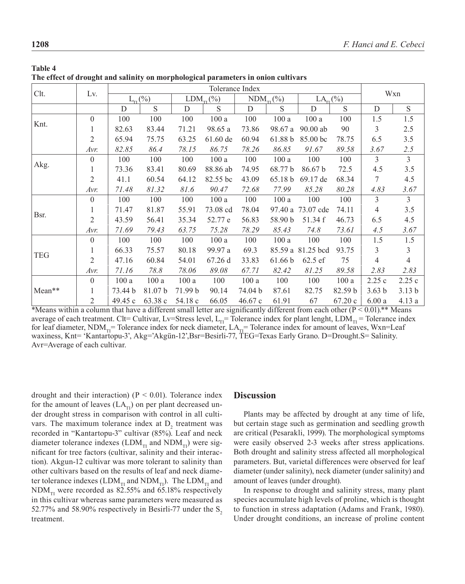| Clt.       | Lv.            | Tolerance Index      |         |                        |            |                        |         |                   |         |                   |                   |  |
|------------|----------------|----------------------|---------|------------------------|------------|------------------------|---------|-------------------|---------|-------------------|-------------------|--|
|            |                | $L_{\text{TI}}(\% )$ |         | $LDM_{\text{tr}}(\% )$ |            | $NDM_{\text{TI}}(\% )$ |         | $LA_{\rm TI}(\%)$ |         | Wxn               |                   |  |
|            |                | D                    | S       | D                      | S          | D                      | S       | D                 | S       | D                 | S                 |  |
|            | $\theta$       | 100                  | 100     | 100                    | 100a       | 100                    | 100a    | 100a              | 100     | 1.5               | 1.5               |  |
| Knt.       |                | 82.63                | 83.44   | 71.21                  | 98.65 a    | 73.86                  | 98.67 a | $90.00$ ab        | 90      | 3                 | 2.5               |  |
|            | 2              | 65.94                | 75.75   | 63.25                  | $61.60$ de | 60.94                  | 61.88 b | 85.00 bc          | 78.75   | 6.5               | 3.5               |  |
|            | Avr.           | 82.85                | 86.4    | 78.15                  | 86.75      | 78.26                  | 86.85   | 91.67             | 89.58   | 3.67              | 2.5               |  |
|            | $\theta$       | 100                  | 100     | 100                    | 100a       | 100                    | 100a    | 100               | 100     | $\overline{3}$    | $\overline{3}$    |  |
| Akg.       |                | 73.36                | 83.41   | 80.69                  | 88.86 ab   | 74.95                  | 68.77 b | 86.67 b           | 72.5    | 4.5               | 3.5               |  |
|            | $\overline{2}$ | 41.1                 | 60.54   | 64.12                  | 82.55 bc   | 43.09                  | 65.18 b | 69.17 de          | 68.34   | 7                 | 4.5               |  |
|            | Avr.           | 71.48                | 81.32   | 81.6                   | 90.47      | 72.68                  | 77.99   | 85.28             | 80.28   | 4.83              | 3.67              |  |
|            | $\theta$       | 100                  | 100     | 100                    | 100a       | 100                    | 100a    | 100               | 100     | 3                 | $\overline{3}$    |  |
|            |                | 71.47                | 81.87   | 55.91                  | 73.08 cd   | 78.04                  | 97.40 a | 73.07 cde         | 74.11   | 4                 | 3.5               |  |
| Bsr.       | $\overline{2}$ | 43.59                | 56.41   | 35.34                  | 52.77 e    | 56.83                  | 58.90 b | 51.34 f           | 46.73   | 6.5               | 4.5               |  |
|            | Avr.           | 71.69                | 79.43   | 63.75                  | 75.28      | 78.29                  | 85.43   | 74.8              | 73.61   | 4.5               | 3.67              |  |
| <b>TEG</b> | $\theta$       | 100                  | 100     | 100                    | 100a       | 100                    | 100a    | 100               | 100     | 1.5               | 1.5               |  |
|            |                | 66.33                | 75.57   | 80.18                  | 99.97 a    | 69.3                   | 85.59 a | 81.25 bcd         | 93.75   | 3                 | 3                 |  |
|            | $\overline{2}$ | 47.16                | 60.84   | 54.01                  | 67.26 d    | 33.83                  | 61.66 b | 62.5 ef           | 75      | 4                 | $\overline{4}$    |  |
|            | Avr.           | 71.16                | 78.8    | 78.06                  | 89.08      | 67.71                  | 82.42   | 81.25             | 89.58   | 2.83              | 2.83              |  |
|            | $\theta$       | 100a                 | 100a    | 100a                   | 100        | 100a                   | 100     | 100               | 100a    | 2.25c             | 2.25c             |  |
| Mean**     |                | 73.44 b              | 81.07 b | 71.99 b                | 90.14      | 74.04 b                | 87.61   | 82.75             | 82.59 b | 3.63 <sub>b</sub> | 3.13 <sub>b</sub> |  |
|            | 2              | 49.45 c              | 63.38 c | 54.18 c                | 66.05      | 46.67c                 | 61.91   | 67                | 67.20c  | 6.00a             | 4.13a             |  |

| <b>Table 4</b>                                                                    |  |
|-----------------------------------------------------------------------------------|--|
| The effect of drought and salinity on morphological parameters in onion cultivars |  |

\*Means within a column that have a different small letter are significantly different from each other  $(P < 0.01)$ .\*\* Means average of each treatment. Clt= Cultivar, Lv=Stress level, L<sub>II</sub>= Tolerance index for plant lenght, LDM<sub>II</sub> = Tolerance index for leaf diameter, NDM<sub>TI</sub>= Tolerance index for neck diameter, LA<sub>TI</sub>= Tolerance index for amount of leaves, Wxn=Leaf waxiness, Knt= 'Kantartopu-3', Akg='Akgün-12',Bsr=Besirli-77, TEG=Texas Early Grano. D=Drought.S= Salinity. Avr=Average of each cultivar.

drought and their interaction) ( $P < 0.01$ ). Tolerance index for the amount of leaves  $(LA<sub>T1</sub>)$  on per plant decreased under drought stress in comparison with control in all cultivars. The maximum tolerance index at  $D_2$  treatment was recorded in "Kantartopu-3" cultivar (85%). Leaf and neck diameter tolerance indexes (LDM<sub>TI</sub> and NDM<sub>TI</sub>) were significant for tree factors (cultivar, salinity and their interaction). Akgun-12 cultivar was more tolerant to salinity than other cultivars based on the results of leaf and neck diameter tolerance indexes (LDM<sub>TI</sub> and NDM<sub>TI</sub>). The LDM<sub>TI</sub> and  $NDM_{\text{th}}$  were recorded as 82.55% and 65.18% respectively in this cultivar whereas same parameters were measured as 52.77% and 58.90% respectively in Besirli-77 under the  $S<sub>2</sub>$ treatment.

# **Discussion**

Plants may be affected by drought at any time of life, but certain stage such as germination and seedling growth are critical (Pesarakli, 1999). The morphological symptoms were easily observed 2-3 weeks after stress applications. Both drought and salinity stress affected all morphological parameters. But, varietal differences were observed for leaf diameter (under salinity), neck diameter (under salinity) and amount of leaves (under drought).

In response to drought and salinity stress, many plant species accumulate high levels of proline, which is thought to function in stress adaptation (Adams and Frank, 1980). Under drought conditions, an increase of proline content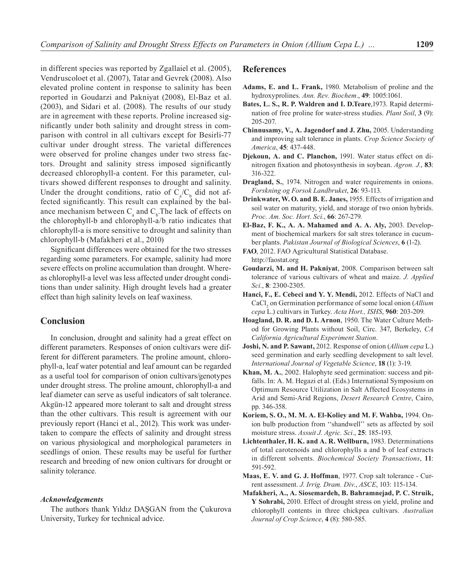in different species was reported by Zgallaiel et al. (2005), Vendruscoloet et al. (2007), Tatar and Gevrek (2008). Also elevated proline content in response to salinity has been reported in Goudarzi and Pakniyat (2008), El-Baz et al. (2003), and Sidari et al. (2008). The results of our study are in agreement with these reports. Proline increased significantly under both salinity and drought stress in comparison with control in all cultivars except for Besirli-77 cultivar under drought stress. The varietal differences were observed for proline changes under two stress factors. Drought and salinity stress imposed significantly decreased chlorophyll-a content. For this parameter, cultivars showed different responses to drought and salinity. Under the drought conditions, ratio of  $C_a/C_b$  did not affected significantly. This result can explained by the balance mechanism between  $C_a$  and  $C_b$ . The lack of effects on the chlorophyll-b and chlorophyll-a/b ratio indicates that chlorophyll-a is more sensitive to drought and salinity than chlorophyll-b (Mafakheri et al., 2010)

Significant differences were obtained for the two stresses regarding some parameters. For example, salinity had more severe effects on proline accumulation than drought. Whereas chlorophyll-a level was less affected under drought conditions than under salinity. High drought levels had a greater effect than high salinity levels on leaf waxiness.

# **Conclusion**

In conclusion, drought and salinity had a great effect on different parameters. Responses of onion cultivars were different for different parameters. The proline amount, chlorophyll-a, leaf water potential and leaf amount can be regarded as a useful tool for comparison of onion cultivars/genotypes under drought stress. The proline amount, chlorophyll-a and leaf diameter can serve as useful indicators of salt tolerance. Akgün-12 appeared more tolerant to salt and drought stress than the other cultivars. This result is agreement with our previously report (Hanci et al., 2012). This work was undertaken to compare the effects of salinity and drought stress on various physiological and morphological parameters in seedlings of onion. These results may be useful for further research and breeding of new onion cultivars for drought or salinity tolerance.

### *Acknowledgements*

The authors thank Yıldız DAŞGAN from the Çukurova University, Turkey for technical advice.

## **References**

- **Adams, E. and L. Frank,** 1980. Metabolism of proline and the hydroxyprolines. *Ann. Rev. Biochem*., **49**: 1005:1061.
- **Bates, L. S., R. P. Waldren and I. D.Teare**,1973. Rapid determination of free proline for water-stress studies. *Plant Soil*, **3** (9): 205-207.
- **Chinnusamy, V., A. Jagendorf and J. Zhu,** 2005. Understanding and improving salt tolerance in plants. *Crop Science Society of America*, **45**: 437-448.
- **Djekoun, A. and C. Planchon,** 1991. Water status effect on dinitrogen fixation and photosynthesis in soybean. *Agron. J.*, **83**: 316-322.
- **Dragland, S.**, 1974. Nitrogen and water requirements in onions. *Forskning og Forsok Landbruket*, **26**: 93-113.
- **Drinkwater, W. O. and B. E. Janes,** 1955. Effects of irrigation and soil water on maturity, yield, and storage of two onion hybrids. *Proc. Am. Soc. Hort. Sci.*, **66**: 267-279.
- **El-Baz, F. K., A. A. Mahamed and A. A. Aly,** 2003. Development of biochemical markers for salt stres tolerance in cucumber plants. *Pakistan Journal of Biological Sciences*, **6** (1-2).
- **FAO**, 2012. FAO Agricultural Statistical Database. http://faostat.org
- **Goudarzi, M. and H. Pakniyat**, 2008. Comparison between salt tolerance of various cultivars of wheat and maize. *J. Applied Sci.*, **8**: 2300-2305.
- **Hanci, F., E. Cebeci and Y. Y. Mendi,** 2012. Effects of NaCl and CaCl<sub>2</sub> on Germination performance of some local onion (*Allium cepa* L.) cultivars in Turkey. *Acta Hort., ISHS*, **960**: 203-209.
- **Hoagland, D. R. and D. I. Arnon**, 1950. The Water Culture Method for Growing Plants without Soil, Circ. 347, Berkeley, *CA California Agricultural Experiment Station*.
- **Joshi, N. and P. Sawant,** 2012. Response of onion (*Allium cepa* L.) seed germination and early seedling development to salt level. *International Journal of Vegetable Science*, **18** (1): 3-19.
- **Khan, M. A.**, 2002. Halophyte seed germination: success and pitfalls. In: A. M. Hegazi et al. (Eds.) International Symposium on Optimum Resource Utilization in Salt Affected Ecosystems in Arid and Semi-Arid Regions, *Desert Research Centre*, Cairo, pp. 346-358.
- **Koriem, S. O., M. M. A. El-Koliey and M. F. Wahba,** 1994. Onion bulb production from ''shandwell'' sets as affected by soil moisture stress. *Assuit J. Agric. Sci.*, **25**: 185-193.
- **Lichtenthaler, H. K. and A. R. Wellburn,** 1983. Determinations of total carotenoids and chlorophylls a and b of leaf extracts in different solvents. *Biochemical Society Transactions*, **11**: 591-592.
- **Maas, E. V. and G. J. Hoffman**, 1977. Crop salt tolerance Current assessment. *J. Irrig. Dram. Div.*, *ASCE*, 103: 115-134.
- **Mafakheri, A., A. Siosemardeh, B. Bahramnejad, P. C. Struik, Y Sohrabi,** 2010. Effect of drought stress on yield, proline and chlorophyll contents in three chickpea cultivars. *Australian Journal of Crop Science*, **4** (8): 580-585.